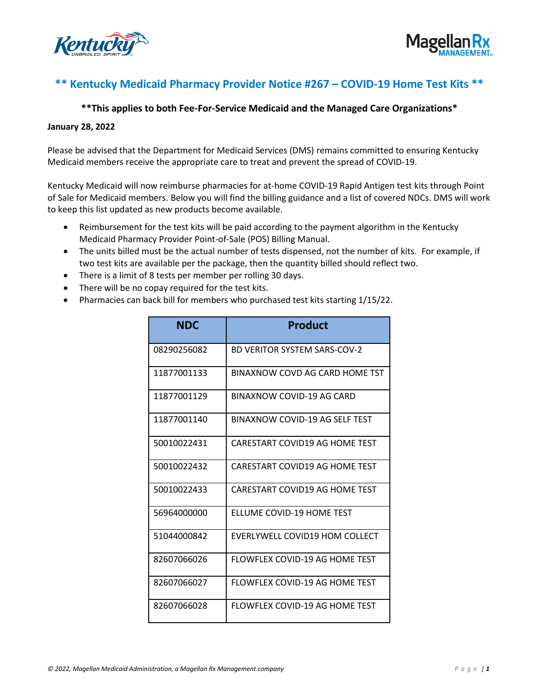



## **\*\* Kentucky Medicaid Pharmacy Provider Notice #267 – COVID-19 Home Test Kits \*\***

## **\*\*This applies to both Fee-For-Service Medicaid and the Managed Care Organizations\***

## **January 28, 2022**

Please be advised that the Department for Medicaid Services (DMS) remains committed to ensuring Kentucky Medicaid members receive the appropriate care to treat and prevent the spread of COVID-19.

Kentucky Medicaid will now reimburse pharmacies for at-home COVID-19 Rapid Antigen test kits through Point of Sale for Medicaid members. Below you will find the billing guidance and a list of covered NDCs. DMS will work to keep this list updated as new products become available.

- Reimbursement for the test kits will be paid according to the payment algorithm in the Kentucky Medicaid Pharmacy Provider Point-of-Sale (POS) Billing Manual.
- The units billed must be the actual number of tests dispensed, not the number of kits. For example, if two test kits are available per the package, then the quantity billed should reflect two.
- There is a limit of 8 tests per member per rolling 30 days.
- There will be no copay required for the test kits.
- Pharmacies can back bill for members who purchased test kits starting 1/15/22.

| <b>NDC</b>  | <b>Product</b>                      |  |
|-------------|-------------------------------------|--|
| 08290256082 | <b>BD VERITOR SYSTEM SARS-COV-2</b> |  |
| 11877001133 | BINAXNOW COVD AG CARD HOME TST      |  |
| 11877001129 | BINAXNOW COVID-19 AG CARD           |  |
| 11877001140 | BINAXNOW COVID-19 AG SELF TEST      |  |
| 50010022431 | CARESTART COVID19 AG HOME TEST      |  |
| 50010022432 | CARESTART COVID19 AG HOME TEST      |  |
| 50010022433 | CARESTART COVID19 AG HOME TEST      |  |
| 56964000000 | <b>FLLUME COVID-19 HOME TEST</b>    |  |
| 51044000842 | EVERLYWELL COVID19 HOM COLLECT      |  |
| 82607066026 | FLOWFLEX COVID-19 AG HOME TEST      |  |
| 82607066027 | FLOWFLEX COVID-19 AG HOME TEST      |  |
| 82607066028 | FLOWFLEX COVID-19 AG HOME TEST      |  |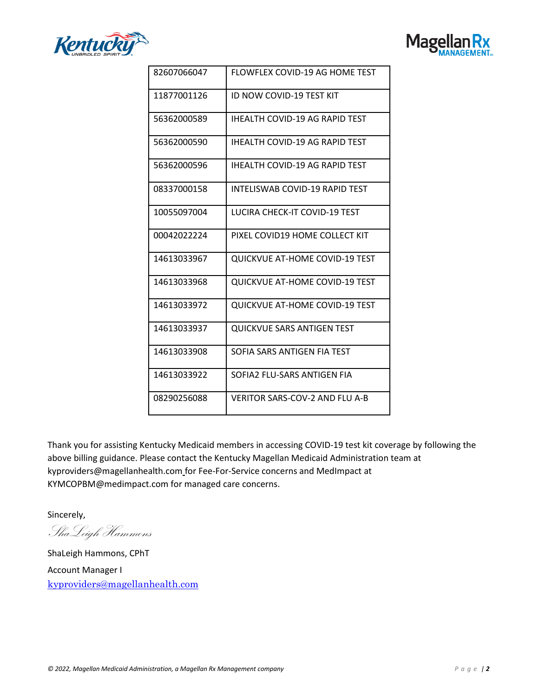



| 82607066047 | FLOWFLEX COVID-19 AG HOME TEST        |  |
|-------------|---------------------------------------|--|
| 11877001126 | ID NOW COVID-19 TEST KIT              |  |
| 56362000589 | <b>IHEALTH COVID-19 AG RAPID TEST</b> |  |
| 56362000590 | <b>IHEALTH COVID-19 AG RAPID TEST</b> |  |
| 56362000596 | <b>IHEALTH COVID-19 AG RAPID TEST</b> |  |
| 08337000158 | <b>INTELISWAB COVID-19 RAPID TEST</b> |  |
| 10055097004 | LUCIRA CHECK-IT COVID-19 TEST         |  |
| 00042022224 | PIXEL COVID19 HOME COLLECT KIT        |  |
| 14613033967 | <b>QUICKVUE AT-HOME COVID-19 TEST</b> |  |
| 14613033968 | <b>QUICKVUE AT-HOME COVID-19 TEST</b> |  |
| 14613033972 | <b>QUICKVUE AT-HOME COVID-19 TEST</b> |  |
| 14613033937 | <b>QUICKVUE SARS ANTIGEN TEST</b>     |  |
| 14613033908 | SOFIA SARS ANTIGEN FIA TEST           |  |
| 14613033922 | SOFIA2 FLU-SARS ANTIGEN FIA           |  |
| 08290256088 | <b>VERITOR SARS-COV-2 AND FLU A-B</b> |  |

Thank you for assisting Kentucky Medicaid members in accessing COVID-19 test kit coverage by following the above billing guidance. Please contact the Kentucky Magellan Medicaid Administration team at [kyproviders@magellanhealth.com](mailto:kyproviders@magellanhealth.com) for Fee-For-Service concerns and MedImpact at [KYMCOPBM@medimpact.com](mailto:KYMCOPBM@medimpact.com) for managed care concerns.

Sincerely,

ShaLeigh Hammons

ShaLeigh Hammons, CPhT Account Manager I [kyproviders@magellanhealth.com](mailto:kyproviders@magellanhealth.com)